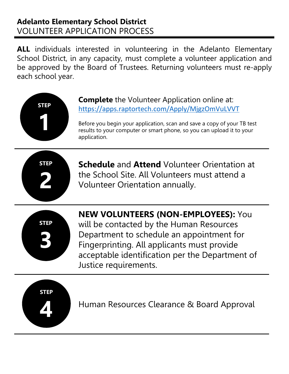# **Adelanto Elementary School District** VOLUNTEER APPLICATION PROCESS

**ALL** individuals interested in volunteering in the Adelanto Elementary School District, in any capacity, must complete a volunteer application and be approved by the Board of Trustees. Returning volunteers must re-apply each school year.



**Complete** the Volunteer Application online at: https://apps.raptortech.com/Apply/MjgzOmVuLVVT

Before you begin your application, scan and save a copy of your TB test results to your computer or smart phone, so you can upload it to your application.



**Schedule** and **Attend** Volunteer Orientation at the School Site. All Volunteers must attend a Volunteer Orientation annually.



**NEW VOLUNTEERS (NON-EMPLOYEES):** You will be contacted by the Human Resources

Department to schedule an appointment for Fingerprinting. All applicants must provide acceptable identification per the Department of Justice requirements.



Human Resources Clearance & Board Approval